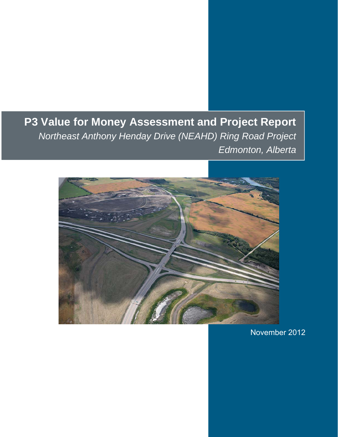## **P3 Value for Money Assessment and Project Report**  *Northeast Anthony Henday Drive (NEAHD) Ring Road Project Edmonton, Alberta*



November 2012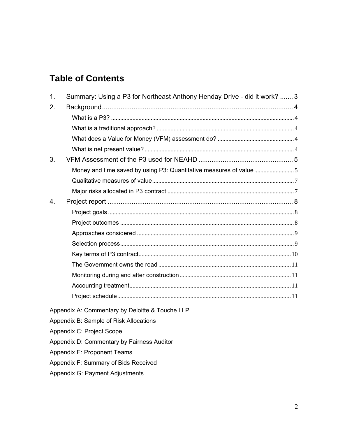## **Table of Contents**

| 1.             | Summary: Using a P3 for Northeast Anthony Henday Drive - did it work?  3 |  |
|----------------|--------------------------------------------------------------------------|--|
| 2.             |                                                                          |  |
|                |                                                                          |  |
|                |                                                                          |  |
|                |                                                                          |  |
|                |                                                                          |  |
| 3 <sub>1</sub> |                                                                          |  |
|                |                                                                          |  |
|                |                                                                          |  |
|                |                                                                          |  |
| 4.             |                                                                          |  |
|                |                                                                          |  |
|                |                                                                          |  |
|                |                                                                          |  |
|                |                                                                          |  |
|                |                                                                          |  |
|                |                                                                          |  |
|                |                                                                          |  |
|                |                                                                          |  |
|                |                                                                          |  |
|                | Appendix A: Commentary by Deloitte & Touche LLP                          |  |
|                | Appendix B: Sample of Risk Allocations                                   |  |
|                | Appendix C: Project Scope                                                |  |
|                | Appendix D: Commentary by Fairness Auditor                               |  |
|                | Appendix E: Proponent Teams                                              |  |
|                | Appendix F: Summary of Bids Received                                     |  |

Appendix G: Payment Adjustments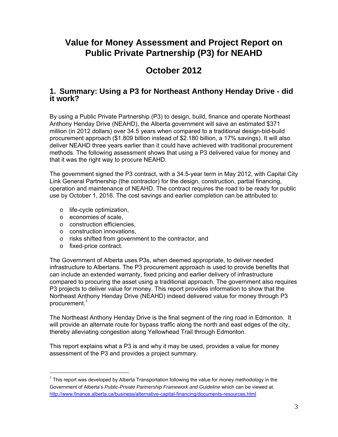## **Value for Money Assessment and Project Report on Public Private Partnership (P3) for NEAHD**

## **October 2012**

## **1. Summary: Using a P3 for Northeast Anthony Henday Drive - did it work?**

By using a Public Private Partnership (P3) to design, build, finance and operate Northeast Anthony Henday Drive (NEAHD), the Alberta government will save an estimated \$371 million (in 2012 dollars) over 34.5 years when compared to a traditional design-bid-build procurement approach (\$1.809 billion instead of \$2.180 billion, a 17% savings). It will also deliver NEAHD three years earlier than it could have achieved with traditional procurement methods. The following assessment shows that using a P3 delivered value for money and that it was the right way to procure NEAHD.

The government signed the P3 contract, with a 34.5-year term in May 2012, with Capital City Link General Partnership (the contractor) for the design, construction, partial financing, operation and maintenance of NEAHD. The contract requires the road to be ready for public use by October 1, 2016. The cost savings and earlier completion can be attributed to:

- o life-cycle optimization,
- o economies of scale,
- o construction efficiencies,
- o construction innovations,
- o risks shifted from government to the contractor, and
- o fixed-price contract.

 $\overline{a}$ 

The Government of Alberta uses P3s, when deemed appropriate, to deliver needed infrastructure to Albertans. The P3 procurement approach is used to provide benefits that can include an extended warranty, fixed pricing and earlier delivery of infrastructure compared to procuring the asset using a traditional approach. The government also requires P3 projects to deliver value for money. This report provides information to show that the Northeast Anthony Henday Drive (NEAHD) indeed delivered value for money through P3 procurement.<sup>1</sup>

The Northeast Anthony Henday Drive is the final segment of the ring road in Edmonton. It will provide an alternate route for bypass traffic along the north and east edges of the city, thereby alleviating congestion along Yellowhead Trail through Edmonton.

This report explains what a P3 is and why it may be used, provides a value for money assessment of the P3 and provides a project summary.

 $1$  This report was developed by Alberta Transportation following the value for money methodology in the Government of Alberta's *Public-Private Partnership Framework and Guideline* which can be viewed at. http://www.finance.alberta.ca/business/alternative-capital-financing/documents-resources.html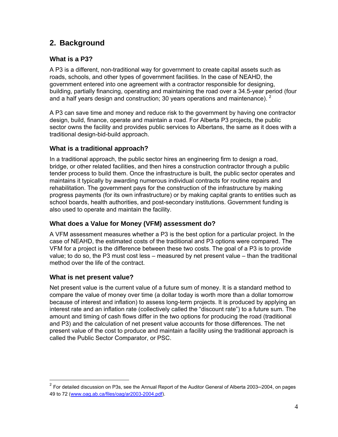### **2. Background**

### **What is a P3?**

A P3 is a different, non-traditional way for government to create capital assets such as roads, schools, and other types of government facilities. In the case of NEAHD, the government entered into one agreement with a contractor responsible for designing, building, partially financing, operating and maintaining the road over a 34.5-year period (four and a half years design and construction; 30 years operations and maintenance).  $2$ 

A P3 can save time and money and reduce risk to the government by having one contractor design, build, finance, operate and maintain a road. For Alberta P3 projects, the public sector owns the facility and provides public services to Albertans, the same as it does with a traditional design-bid-build approach.

### **What is a traditional approach?**

In a traditional approach, the public sector hires an engineering firm to design a road, bridge, or other related facilities, and then hires a construction contractor through a public tender process to build them. Once the infrastructure is built, the public sector operates and maintains it typically by awarding numerous individual contracts for routine repairs and rehabilitation. The government pays for the construction of the infrastructure by making progress payments (for its own infrastructure) or by making capital grants to entities such as school boards, health authorities, and post-secondary institutions. Government funding is also used to operate and maintain the facility.

### **What does a Value for Money (VFM) assessment do?**

A VFM assessment measures whether a P3 is the best option for a particular project. In the case of NEAHD, the estimated costs of the traditional and P3 options were compared. The VFM for a project is the difference between these two costs. The goal of a P3 is to provide value; to do so, the P3 must cost less – measured by net present value – than the traditional method over the life of the contract.

### **What is net present value?**

 $\overline{a}$ 

Net present value is the current value of a future sum of money. It is a standard method to compare the value of money over time (a dollar today is worth more than a dollar tomorrow because of interest and inflation) to assess long-term projects. It is produced by applying an interest rate and an inflation rate (collectively called the "discount rate") to a future sum. The amount and timing of cash flows differ in the two options for producing the road (traditional and P3) and the calculation of net present value accounts for those differences. The net present value of the cost to produce and maintain a facility using the traditional approach is called the Public Sector Comparator, or PSC.

<sup>&</sup>lt;sup>2</sup> For detailed discussion on P3s, see the Annual Report of the Auditor General of Alberta 2003-2004, on pages 49 to 72 (www.oag.ab.ca/files/oag/ar2003-2004.pdf).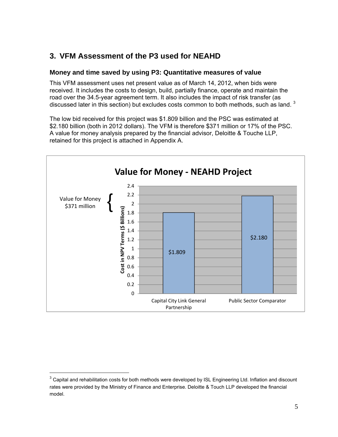### **3. VFM Assessment of the P3 used for NEAHD**

### **Money and time saved by using P3: Quantitative measures of value**

This VFM assessment uses net present value as of March 14, 2012, when bids were received. It includes the costs to design, build, partially finance, operate and maintain the road over the 34.5-year agreement term. It also includes the impact of risk transfer (as discussed later in this section) but excludes costs common to both methods, such as land.  $3$ 

The low bid received for this project was \$1.809 billion and the PSC was estimated at \$2.180 billion (both in 2012 dollars). The VFM is therefore \$371 million or 17% of the PSC. A value for money analysis prepared by the financial advisor, Deloitte & Touche LLP, retained for this project is attached in Appendix A.



 $\overline{a}$ 

 $3$  Capital and rehabilitation costs for both methods were developed by ISL Engineering Ltd. Inflation and discount rates were provided by the Ministry of Finance and Enterprise. Deloitte & Touch LLP developed the financial model.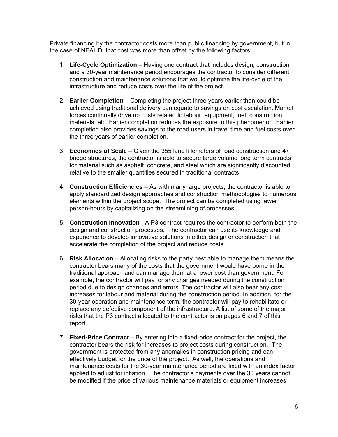Private financing by the contractor costs more than public financing by government, but in the case of NEAHD, that cost was more than offset by the following factors:

- 1. **Life-Cycle Optimization**  Having one contract that includes design, construction and a 30-year maintenance period encourages the contractor to consider different construction and maintenance solutions that would optimize the life-cycle of the infrastructure and reduce costs over the life of the project.
- 2. **Earlier Completion**  Completing the project three years earlier than could be achieved using traditional delivery can equate to savings on cost escalation. Market forces continually drive up costs related to labour, equipment, fuel, construction materials, etc. Earlier completion reduces the exposure to this phenomenon. Earlier completion also provides savings to the road users in travel time and fuel costs over the three years of earlier completion.
- 3. **Economies of Scale**  Given the 355 lane kilometers of road construction and 47 bridge structures, the contractor is able to secure large volume long term contracts for material such as asphalt, concrete, and steel which are significantly discounted relative to the smaller quantities secured in traditional contracts.
- 4. **Construction Efficiencies** As with many large projects, the contractor is able to apply standardized design approaches and construction methodologies to numerous elements within the project scope. The project can be completed using fewer person-hours by capitalizing on the streamlining of processes.
- 5. **Construction Innovation** A P3 contract requires the contractor to perform both the design and construction processes. The contractor can use its knowledge and experience to develop innovative solutions in either design or construction that accelerate the completion of the project and reduce costs.
- 6. **Risk Allocation**  Allocating risks to the party best able to manage them means the contractor bears many of the costs that the government would have borne in the traditional approach and can manage them at a lower cost than government. For example, the contractor will pay for any changes needed during the construction period due to design changes and errors. The contractor will also bear any cost increases for labour and material during the construction period. In addition, for the 30-year operation and maintenance term, the contractor will pay to rehabilitate or replace any defective component of the infrastructure. A list of some of the major risks that the P3 contract allocated to the contractor is on pages 6 and 7 of this report.
- 7. **Fixed-Price Contract** By entering into a fixed-price contract for the project, the contractor bears the risk for increases to project costs during construction. The government is protected from any anomalies in construction pricing and can effectively budget for the price of the project. As well, the operations and maintenance costs for the 30-year maintenance period are fixed with an index factor applied to adjust for inflation. The contractor's payments over the 30 years cannot be modified if the price of various maintenance materials or equipment increases.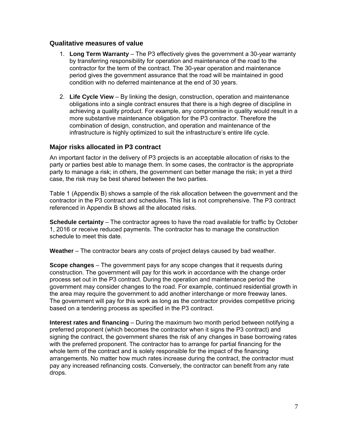### **Qualitative measures of value**

- 1. **Long Term Warranty** The P3 effectively gives the government a 30-year warranty by transferring responsibility for operation and maintenance of the road to the contractor for the term of the contract. The 30-year operation and maintenance period gives the government assurance that the road will be maintained in good condition with no deferred maintenance at the end of 30 years.
- 2. **Life Cycle View**  By linking the design, construction, operation and maintenance obligations into a single contract ensures that there is a high degree of discipline in achieving a quality product. For example, any compromise in quality would result in a more substantive maintenance obligation for the P3 contractor. Therefore the combination of design, construction, and operation and maintenance of the infrastructure is highly optimized to suit the infrastructure's entire life cycle.

### **Major risks allocated in P3 contract**

An important factor in the delivery of P3 projects is an acceptable allocation of risks to the party or parties best able to manage them. In some cases, the contractor is the appropriate party to manage a risk; in others, the government can better manage the risk; in yet a third case, the risk may be best shared between the two parties.

Table 1 (Appendix B) shows a sample of the risk allocation between the government and the contractor in the P3 contract and schedules. This list is not comprehensive. The P3 contract referenced in Appendix B shows all the allocated risks.

**Schedule certainty** – The contractor agrees to have the road available for traffic by October 1, 2016 or receive reduced payments. The contractor has to manage the construction schedule to meet this date.

**Weather** – The contractor bears any costs of project delays caused by bad weather.

**Scope changes** – The government pays for any scope changes that it requests during construction. The government will pay for this work in accordance with the change order process set out in the P3 contract. During the operation and maintenance period the government may consider changes to the road. For example, continued residential growth in the area may require the government to add another interchange or more freeway lanes. The government will pay for this work as long as the contractor provides competitive pricing based on a tendering process as specified in the P3 contract.

**Interest rates and financing** – During the maximum two month period between notifying a preferred proponent (which becomes the contractor when it signs the P3 contract) and signing the contract, the government shares the risk of any changes in base borrowing rates with the preferred proponent. The contractor has to arrange for partial financing for the whole term of the contract and is solely responsible for the impact of the financing arrangements. No matter how much rates increase during the contract, the contractor must pay any increased refinancing costs. Conversely, the contractor can benefit from any rate drops.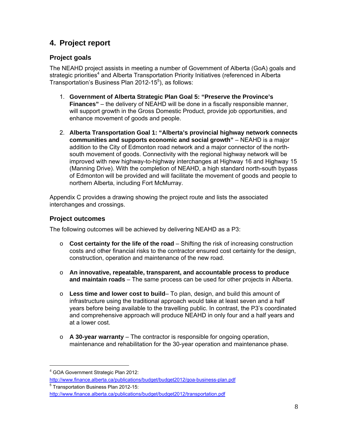### **4. Project report**

### **Project goals**

The NEAHD project assists in meeting a number of Government of Alberta (GoA) goals and strategic priorities<sup>4</sup> and Alberta Transportation Priority Initiatives (referenced in Alberta Transportation's Business Plan 2012-15<sup>5</sup>), as follows:

- 1. **Government of Alberta Strategic Plan Goal 5: "Preserve the Province's Finances"** – the delivery of NEAHD will be done in a fiscally responsible manner, will support growth in the Gross Domestic Product, provide job opportunities, and enhance movement of goods and people.
- 2. **Alberta Transportation Goal 1: "Alberta's provincial highway network connects communities and supports economic and social growth"** – NEAHD is a major addition to the City of Edmonton road network and a major connector of the northsouth movement of goods. Connectivity with the regional highway network will be improved with new highway-to-highway interchanges at Highway 16 and Highway 15 (Manning Drive). With the completion of NEAHD, a high standard north-south bypass of Edmonton will be provided and will facilitate the movement of goods and people to northern Alberta, including Fort McMurray.

Appendix C provides a drawing showing the project route and lists the associated interchanges and crossings.

### **Project outcomes**

The following outcomes will be achieved by delivering NEAHD as a P3:

- o **Cost certainty for the life of the road** Shifting the risk of increasing construction costs and other financial risks to the contractor ensured cost certainty for the design, construction, operation and maintenance of the new road.
- o **An innovative, repeatable, transparent, and accountable process to produce and maintain roads** – The same process can be used for other projects in Alberta.
- o **Less time and lower cost to build** To plan, design, and build this amount of infrastructure using the traditional approach would take at least seven and a half years before being available to the travelling public. In contrast, the P3's coordinated and comprehensive approach will produce NEAHD in only four and a half years and at a lower cost.
- o **A 30-year warranty**  The contractor is responsible for ongoing operation, maintenance and rehabilitation for the 30-year operation and maintenance phase.

 $\overline{a}$ 

<sup>&</sup>lt;sup>4</sup> GOA Government Strategic Plan 2012:

http://www.finance.alberta.ca/publications/budget/budget2012/goa-business-plan.pdf

<sup>5</sup> Transportation Business Plan 2012-15:

http://www.finance.alberta.ca/publications/budget/budget2012/transportation.pdf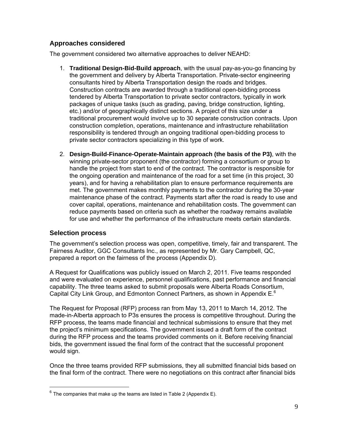### **Approaches considered**

The government considered two alternative approaches to deliver NEAHD:

- 1. **Traditional Design-Bid-Build approach**, with the usual pay-as-you-go financing by the government and delivery by Alberta Transportation. Private-sector engineering consultants hired by Alberta Transportation design the roads and bridges. Construction contracts are awarded through a traditional open-bidding process tendered by Alberta Transportation to private sector contractors, typically in work packages of unique tasks (such as grading, paving, bridge construction, lighting, etc.) and/or of geographically distinct sections. A project of this size under a traditional procurement would involve up to 30 separate construction contracts. Upon construction completion, operations, maintenance and infrastructure rehabilitation responsibility is tendered through an ongoing traditional open-bidding process to private sector contractors specializing in this type of work.
- 2. **Design-Build-Finance-Operate-Maintain approach (the basis of the P3)**, with the winning private-sector proponent (the contractor) forming a consortium or group to handle the project from start to end of the contract. The contractor is responsible for the ongoing operation and maintenance of the road for a set time (in this project, 30 years), and for having a rehabilitation plan to ensure performance requirements are met. The government makes monthly payments to the contractor during the 30-year maintenance phase of the contract. Payments start after the road is ready to use and cover capital, operations, maintenance and rehabilitation costs. The government can reduce payments based on criteria such as whether the roadway remains available for use and whether the performance of the infrastructure meets certain standards.

### **Selection process**

 $\overline{a}$ 

The government's selection process was open, competitive, timely, fair and transparent. The Fairness Auditor, GGC Consultants Inc., as represented by Mr. Gary Campbell, QC, prepared a report on the fairness of the process (Appendix D).

A Request for Qualifications was publicly issued on March 2, 2011. Five teams responded and were evaluated on experience, personnel qualifications, past performance and financial capability. The three teams asked to submit proposals were Alberta Roads Consortium, Capital City Link Group, and Edmonton Connect Partners, as shown in Appendix  $E^6$ 

The Request for Proposal (RFP) process ran from May 13, 2011 to March 14, 2012. The made-in-Alberta approach to P3s ensures the process is competitive throughout. During the RFP process, the teams made financial and technical submissions to ensure that they met the project's minimum specifications. The government issued a draft form of the contract during the RFP process and the teams provided comments on it. Before receiving financial bids, the government issued the final form of the contract that the successful proponent would sign.

Once the three teams provided RFP submissions, they all submitted financial bids based on the final form of the contract. There were no negotiations on this contract after financial bids

 $6$  The companies that make up the teams are listed in Table 2 (Appendix E).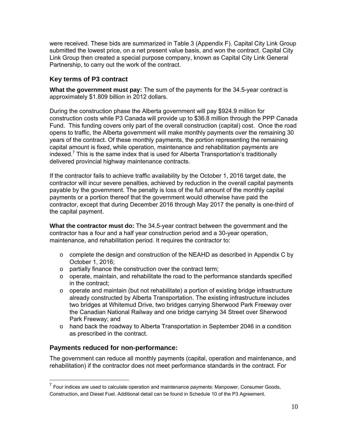were received. These bids are summarized in Table 3 (Appendix F). Capital City Link Group submitted the lowest price, on a net present value basis, and won the contract. Capital City Link Group then created a special purpose company, known as Capital City Link General Partnership, to carry out the work of the contract.

### **Key terms of P3 contract**

**What the government must pay:** The sum of the payments for the 34.5-year contract is approximately \$1.809 billion in 2012 dollars.

During the construction phase the Alberta government will pay \$924.9 million for construction costs while P3 Canada will provide up to \$36.8 million through the PPP Canada Fund. This funding covers only part of the overall construction (capital) cost. Once the road opens to traffic, the Alberta government will make monthly payments over the remaining 30 years of the contract. Of these monthly payments, the portion representing the remaining capital amount is fixed, while operation, maintenance and rehabilitation payments are indexed.<sup>7</sup> This is the same index that is used for Alberta Transportation's traditionally delivered provincial highway maintenance contracts.

If the contractor fails to achieve traffic availability by the October 1, 2016 target date, the contractor will incur severe penalties, achieved by reduction in the overall capital payments payable by the government. The penalty is loss of the full amount of the monthly capital payments or a portion thereof that the government would otherwise have paid the contractor, except that during December 2016 through May 2017 the penalty is one-third of the capital payment.

**What the contractor must do:** The 34.5-year contract between the government and the contractor has a four and a half year construction period and a 30-year operation, maintenance, and rehabilitation period. It requires the contractor to:

- $\circ$  complete the design and construction of the NEAHD as described in Appendix C by October 1, 2016;
- o partially finance the construction over the contract term;
- o operate, maintain, and rehabilitate the road to the performance standards specified in the contract;
- $\circ$  operate and maintain (but not rehabilitate) a portion of existing bridge infrastructure already constructed by Alberta Transportation. The existing infrastructure includes two bridges at Whitemud Drive, two bridges carrying Sherwood Park Freeway over the Canadian National Railway and one bridge carrying 34 Street over Sherwood Park Freeway; and
- $\circ$  hand back the roadway to Alberta Transportation in September 2046 in a condition as prescribed in the contract.

### **Payments reduced for non-performance:**

 $\overline{a}$ 

The government can reduce all monthly payments (capital, operation and maintenance, and rehabilitation) if the contractor does not meet performance standards in the contract. For

 $7$  Four indices are used to calculate operation and maintenance payments: Manpower, Consumer Goods, Construction, and Diesel Fuel. Additional detail can be found in Schedule 10 of the P3 Agreement.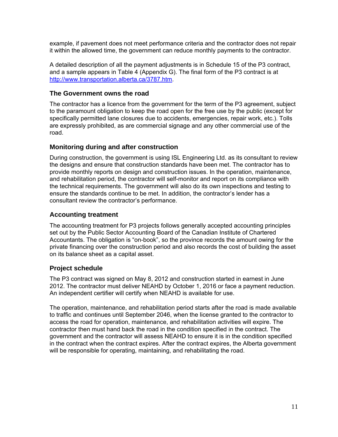example, if pavement does not meet performance criteria and the contractor does not repair it within the allowed time, the government can reduce monthly payments to the contractor.

A detailed description of all the payment adjustments is in Schedule 15 of the P3 contract, and a sample appears in Table 4 (Appendix G). The final form of the P3 contract is at http://www.transportation.alberta.ca/3787.htm.

### **The Government owns the road**

The contractor has a licence from the government for the term of the P3 agreement, subject to the paramount obligation to keep the road open for the free use by the public (except for specifically permitted lane closures due to accidents, emergencies, repair work, etc.). Tolls are expressly prohibited, as are commercial signage and any other commercial use of the road.

### **Monitoring during and after construction**

During construction, the government is using ISL Engineering Ltd. as its consultant to review the designs and ensure that construction standards have been met. The contractor has to provide monthly reports on design and construction issues. In the operation, maintenance, and rehabilitation period, the contractor will self-monitor and report on its compliance with the technical requirements. The government will also do its own inspections and testing to ensure the standards continue to be met. In addition, the contractor's lender has a consultant review the contractor's performance.

### **Accounting treatment**

The accounting treatment for P3 projects follows generally accepted accounting principles set out by the Public Sector Accounting Board of the Canadian Institute of Chartered Accountants. The obligation is "on-book", so the province records the amount owing for the private financing over the construction period and also records the cost of building the asset on its balance sheet as a capital asset.

### **Project schedule**

The P3 contract was signed on May 8, 2012 and construction started in earnest in June 2012. The contractor must deliver NEAHD by October 1, 2016 or face a payment reduction. An independent certifier will certify when NEAHD is available for use.

The operation, maintenance, and rehabilitation period starts after the road is made available to traffic and continues until September 2046, when the license granted to the contractor to access the road for operation, maintenance, and rehabilitation activities will expire. The contractor then must hand back the road in the condition specified in the contract. The government and the contractor will assess NEAHD to ensure it is in the condition specified in the contract when the contract expires. After the contract expires, the Alberta government will be responsible for operating, maintaining, and rehabilitating the road.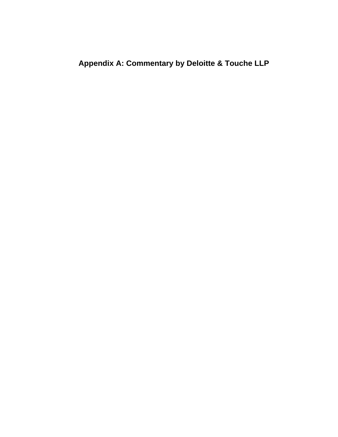**Appendix A: Commentary by Deloitte & Touche LLP**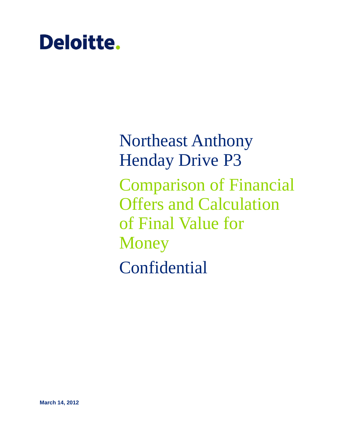# **Deloitte.**

Northeast Anthony Henday Drive P3 Comparison of Financial Offers and Calculation of Final Value for **Money** Confidential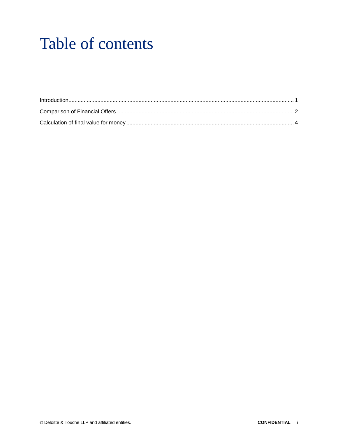## Table of contents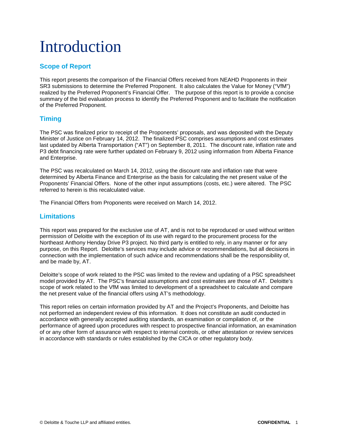## <span id="page-14-0"></span>Introduction

### **Scope of Report**

This report presents the comparison of the Financial Offers received from NEAHD Proponents in their SR3 submissions to determine the Preferred Proponent. It also calculates the Value for Money ("VfM") realized by the Preferred Proponent's Financial Offer. The purpose of this report is to provide a concise summary of the bid evaluation process to identify the Preferred Proponent and to facilitate the notification of the Preferred Proponent.

### **Timing**

The PSC was finalized prior to receipt of the Proponents' proposals, and was deposited with the Deputy Minister of Justice on February 14, 2012. The finalized PSC comprises assumptions and cost estimates last updated by Alberta Transportation ("AT") on September 8, 2011. The discount rate, inflation rate and P3 debt financing rate were further updated on February 9, 2012 using information from Alberta Finance and Enterprise.

The PSC was recalculated on March 14, 2012, using the discount rate and inflation rate that were determined by Alberta Finance and Enterprise as the basis for calculating the net present value of the Proponents' Financial Offers. None of the other input assumptions (costs, etc.) were altered. The PSC referred to herein is this recalculated value.

The Financial Offers from Proponents were received on March 14, 2012.

### **Limitations**

This report was prepared for the exclusive use of AT, and is not to be reproduced or used without written permission of Deloitte with the exception of its use with regard to the procurement process for the Northeast Anthony Henday Drive P3 project. No third party is entitled to rely, in any manner or for any purpose, on this Report. Deloitte's services may include advice or recommendations, but all decisions in connection with the implementation of such advice and recommendations shall be the responsibility of, and be made by, AT.

Deloitte's scope of work related to the PSC was limited to the review and updating of a PSC spreadsheet model provided by AT. The PSC's financial assumptions and cost estimates are those of AT. Deloitte's scope of work related to the VfM was limited to development of a spreadsheet to calculate and compare the net present value of the financial offers using AT's methodology.

This report relies on certain information provided by AT and the Project's Proponents, and Deloitte has not performed an independent review of this information. It does not constitute an audit conducted in accordance with generally accepted auditing standards, an examination or compilation of, or the performance of agreed upon procedures with respect to prospective financial information, an examination of or any other form of assurance with respect to internal controls, or other attestation or review services in accordance with standards or rules established by the CICA or other regulatory body.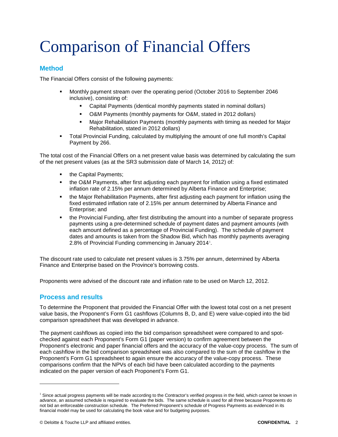## <span id="page-15-0"></span>Comparison of Financial Offers

### **Method**

The Financial Offers consist of the following payments:

- Monthly payment stream over the operating period (October 2016 to September 2046 inclusive), consisting of:
	- Capital Payments (identical monthly payments stated in nominal dollars)
	- O&M Payments (monthly payments for O&M, stated in 2012 dollars)
	- Major Rehabilitation Payments (monthly payments with timing as needed for Major Rehabilitation, stated in 2012 dollars)
- Total Provincial Funding, calculated by multiplying the amount of one full month's Capital Payment by 266.

The total cost of the Financial Offers on a net present value basis was determined by calculating the sum of the net present values (as at the SR3 submission date of March 14, 2012) of:

- the Capital Payments;
- the O&M Payments, after first adjusting each payment for inflation using a fixed estimated inflation rate of 2.15% per annum determined by Alberta Finance and Enterprise;
- the Major Rehabilitation Payments, after first adjusting each payment for inflation using the fixed estimated inflation rate of 2.15% per annum determined by Alberta Finance and Enterprise; and
- the Provincial Funding, after first distributing the amount into a number of separate progress payments using a pre-determined schedule of payment dates and payment amounts (with each amount defined as a percentage of Provincial Funding). The schedule of payment dates and amounts is taken from the Shadow Bid, which has monthly payments averaging 2.8% of Provincial Funding commencing in January 20[1](#page-15-1)4<sup>1</sup>.

The discount rate used to calculate net present values is 3.75% per annum, determined by Alberta Finance and Enterprise based on the Province's borrowing costs.

Proponents were advised of the discount rate and inflation rate to be used on March 12, 2012.

#### **Process and results**

-

To determine the Proponent that provided the Financial Offer with the lowest total cost on a net present value basis, the Proponent's Form G1 cashflows (Columns B, D, and E) were value-copied into the bid comparison spreadsheet that was developed in advance.

The payment cashflows as copied into the bid comparison spreadsheet were compared to and spotchecked against each Proponent's Form G1 (paper version) to confirm agreement between the Proponent's electronic and paper financial offers and the accuracy of the value-copy process. The sum of each cashflow in the bid comparison spreadsheet was also compared to the sum of the cashflow in the Proponent's Form G1 spreadsheet to again ensure the accuracy of the value-copy process. These comparisons confirm that the NPVs of each bid have been calculated according to the payments indicated on the paper version of each Proponent's Form G1.

<span id="page-15-1"></span><sup>&</sup>lt;sup>1</sup> Since actual progress payments will be made according to the Contractor's verified progress in the field, which cannot be known in advance, an assumed schedule is required to evaluate the bids. The same schedule is used for all three because Proponents do not bid an enforceable construction schedule. The Preferred Proponent's schedule of Progress Payments as evidenced in its financial model may be used for calculating the book value and for budgeting purposes.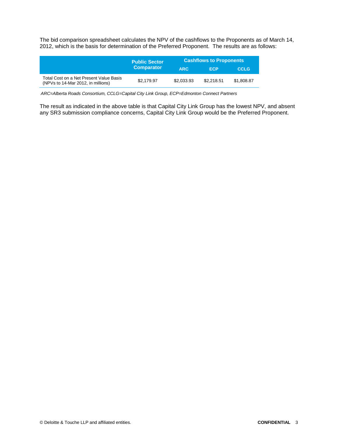The bid comparison spreadsheet calculates the NPV of the cashflows to the Proponents as of March 14, 2012, which is the basis for determination of the Preferred Proponent. The results are as follows:

|                                                                               | <b>Public Sector</b> | <b>Cashflows to Proponents</b> |            |             |
|-------------------------------------------------------------------------------|----------------------|--------------------------------|------------|-------------|
|                                                                               | <b>Comparator</b>    | <b>ARC</b>                     | ECP        | <b>CCLG</b> |
| Total Cost on a Net Present Value Basis<br>(NPVs to 14-Mar 2012, in millions) | \$2.179.97           | \$2,033.93                     | \$2.218.51 | \$1,808.87  |

*ARC=Alberta Roads Consortium, CCLG=Capital City Link Group, ECP=Edmonton Connect Partners*

The result as indicated in the above table is that Capital City Link Group has the lowest NPV, and absent any SR3 submission compliance concerns, Capital City Link Group would be the Preferred Proponent.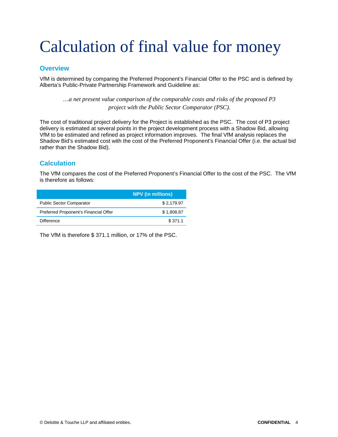## <span id="page-17-0"></span>Calculation of final value for money

#### **Overview**

VfM is determined by comparing the Preferred Proponent's Financial Offer to the PSC and is defined by Alberta's Public-Private Partnership Framework and Guideline as:

*…a net present value comparison of the comparable costs and risks of the proposed P3 project with the Public Sector Comparator (PSC).*

The cost of traditional project delivery for the Project is established as the PSC. The cost of P3 project delivery is estimated at several points in the project development process with a Shadow Bid, allowing VfM to be estimated and refined as project information improves. The final VfM analysis replaces the Shadow Bid's estimated cost with the cost of the Preferred Proponent's Financial Offer (i.e. the actual bid rather than the Shadow Bid).

### **Calculation**

The VfM compares the cost of the Preferred Proponent's Financial Offer to the cost of the PSC. The VfM is therefore as follows:

|                                       | <b>NPV</b> (in millions) |
|---------------------------------------|--------------------------|
| <b>Public Sector Comparator</b>       | \$2.179.97               |
| Preferred Proponent's Financial Offer | \$1,808.87               |
| Difference                            | \$371.1                  |

The VfM is therefore \$ 371.1 million, or 17% of the PSC.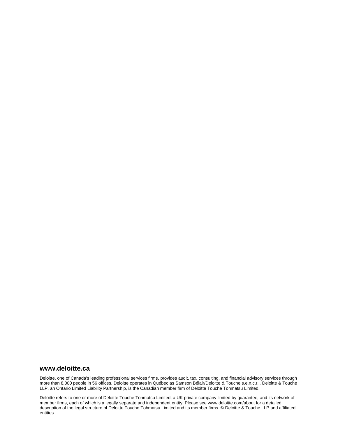#### **www.deloitte.ca**

Deloitte, one of Canada's leading professional services firms, provides audit, tax, consulting, and financial advisory services through more than 8,000 people in 56 offices. Deloitte operates in Québec as Samson Bélair/Deloitte & Touche s.e.n.c.r.l. Deloitte & Touche LLP, an Ontario Limited Liability Partnership, is the Canadian member firm of Deloitte Touche Tohmatsu Limited.

Deloitte refers to one or more of Deloitte Touche Tohmatsu Limited, a UK private company limited by guarantee, and its network of member firms, each of which is a legally separate and independent entity. Please see www.deloitte.com/about for a detailed description of the legal structure of Deloitte Touche Tohmatsu Limited and its member firms. © Deloitte & Touche LLP and affiliated entities.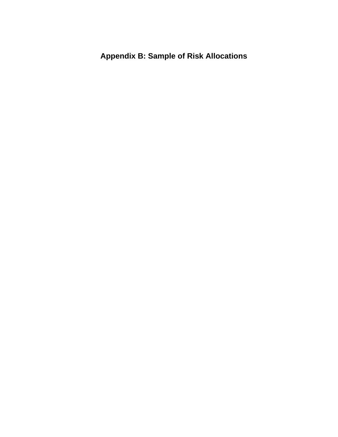**Appendix B: Sample of Risk Allocations**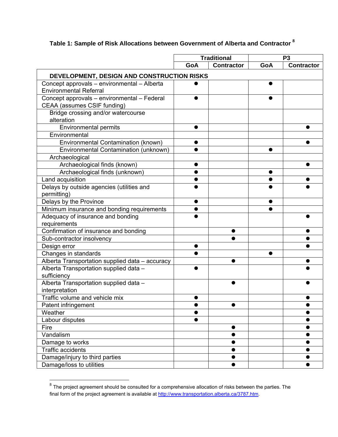## **Table 1: Sample of Risk Allocations between Government of Alberta and Contractor <sup>8</sup>**

|                                                 | <b>Traditional</b> |                        | P <sub>3</sub> |                        |
|-------------------------------------------------|--------------------|------------------------|----------------|------------------------|
|                                                 | GoA                | <b>Contractor</b>      | GoA            | <b>Contractor</b>      |
| DEVELOPMENT, DESIGN AND CONSTRUCTION RISKS      |                    |                        |                |                        |
| Concept approvals - environmental - Alberta     |                    |                        |                |                        |
| <b>Environmental Referral</b>                   |                    |                        |                |                        |
| Concept approvals - environmental - Federal     |                    |                        |                |                        |
| CEAA (assumes CSIF funding)                     |                    |                        |                |                        |
| Bridge crossing and/or watercourse              |                    |                        |                |                        |
| alteration                                      |                    |                        |                |                        |
| <b>Environmental permits</b>                    |                    |                        |                |                        |
| Environmental                                   |                    |                        |                |                        |
| Environmental Contamination (known)             |                    |                        |                |                        |
| Environmental Contamination (unknown)           |                    |                        |                |                        |
| Archaeological                                  |                    |                        |                |                        |
| Archaeological finds (known)                    |                    |                        |                |                        |
| Archaeological finds (unknown)                  |                    |                        |                |                        |
| Land acquisition                                |                    |                        |                |                        |
| Delays by outside agencies (utilities and       |                    |                        |                |                        |
| permitting)                                     |                    |                        |                |                        |
| Delays by the Province                          |                    |                        |                |                        |
| Minimum insurance and bonding requirements      |                    |                        |                |                        |
| Adequacy of insurance and bonding               |                    |                        |                |                        |
| requirements                                    |                    |                        |                |                        |
| Confirmation of insurance and bonding           |                    |                        |                |                        |
| Sub-contractor insolvency                       |                    |                        |                |                        |
| Design error                                    |                    |                        |                |                        |
| Changes in standards                            |                    |                        |                |                        |
| Alberta Transportation supplied data - accuracy |                    |                        |                |                        |
| Alberta Transportation supplied data -          |                    |                        |                |                        |
| sufficiency                                     |                    |                        |                |                        |
| Alberta Transportation supplied data -          |                    |                        |                |                        |
| interpretation                                  |                    |                        |                |                        |
| Traffic volume and vehicle mix                  |                    |                        |                |                        |
| Patent infringement                             | $\bullet$          |                        |                | $\bullet$              |
| Weather                                         |                    |                        |                |                        |
| Labour disputes                                 |                    |                        |                |                        |
| Fire                                            |                    | $\bullet$              |                | $\bullet$              |
| Vandalism                                       |                    | $\bullet$<br>$\bullet$ |                | $\bullet$<br>$\bullet$ |
| Damage to works<br><b>Traffic accidents</b>     |                    |                        |                |                        |
|                                                 |                    |                        |                | $\bullet$              |
| Damage/injury to third parties                  |                    |                        |                |                        |
| Damage/loss to utilities                        |                    |                        |                |                        |

 $^8$  The project agreement should be consulted for a comprehensive allocation of risks between the parties. The final form of the project agreement is available at http://www.transportation.alberta.ca/3787.htm.

 $\overline{a}$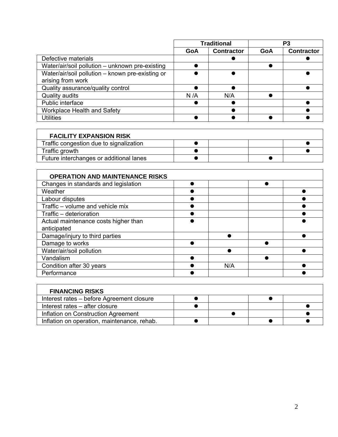|                                                  | <b>Traditional</b> |                   | P3  |                   |
|--------------------------------------------------|--------------------|-------------------|-----|-------------------|
|                                                  | GoA                | <b>Contractor</b> | GoA | <b>Contractor</b> |
| Defective materials                              |                    |                   |     |                   |
| Water/air/soil pollution - unknown pre-existing  |                    |                   |     |                   |
| Water/air/soil pollution - known pre-existing or |                    |                   |     |                   |
| arising from work                                |                    |                   |     |                   |
| Quality assurance/quality control                |                    |                   |     |                   |
| Quality audits                                   | N/A                | N/A               |     |                   |
| Public interface                                 |                    |                   |     |                   |
| Workplace Health and Safety                      |                    |                   |     |                   |
| <b>Utilities</b>                                 |                    |                   |     |                   |

| <b>FACILITY EXPANSION RISK</b>          |  |  |
|-----------------------------------------|--|--|
| Traffic congestion due to signalization |  |  |
| Traffic growth                          |  |  |
| Future interchanges or additional lanes |  |  |

| <b>OPERATION AND MAINTENANCE RISKS</b> |     |  |
|----------------------------------------|-----|--|
| Changes in standards and legislation   |     |  |
| Weather                                |     |  |
| Labour disputes                        |     |  |
| Traffic - volume and vehicle mix       |     |  |
| Traffic - deterioration                |     |  |
| Actual maintenance costs higher than   |     |  |
| anticipated                            |     |  |
| Damage/injury to third parties         |     |  |
| Damage to works                        |     |  |
| Water/air/soil pollution               |     |  |
| Vandalism                              |     |  |
| Condition after 30 years               | N/A |  |
| Performance                            |     |  |

| <b>FINANCING RISKS</b>                      |  |  |
|---------------------------------------------|--|--|
| Interest rates - before Agreement closure   |  |  |
| Interest rates – after closure              |  |  |
| Inflation on Construction Agreement         |  |  |
| Inflation on operation, maintenance, rehab. |  |  |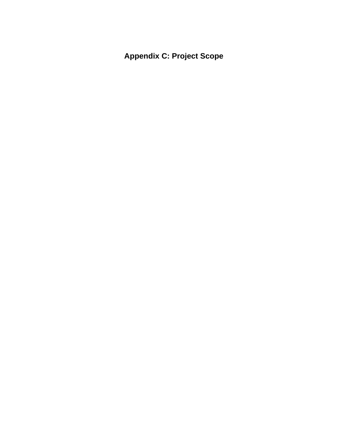**Appendix C: Project Scope**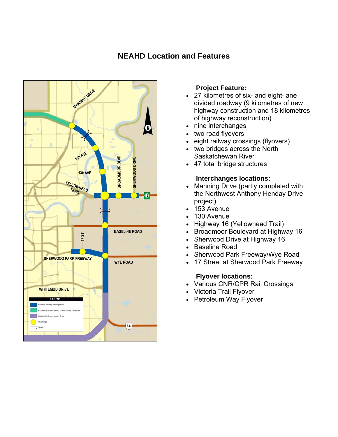### **NEAHD Location and Features**



### **Project Feature:**

- 27 kilometres of six- and eight-lane divided roadway (9 kilometres of new highway construction and 18 kilometres of highway reconstruction)
- nine interchanges
- two road flyovers
- eight railway crossings (flyovers)
- two bridges across the North Saskatchewan River
- 47 total bridge structures

### **Interchanges locations:**

- Manning Drive (partly completed with the Northwest Anthony Henday Drive project)
- 153 Avenue
- 130 Avenue
- Highway 16 (Yellowhead Trail)
- Broadmoor Boulevard at Highway 16
- Sherwood Drive at Highway 16
- Baseline Road
- Sherwood Park Freeway/Wye Road
- 17 Street at Sherwood Park Freeway

### **Flyover locations:**

- Various CNR/CPR Rail Crossings
- Victoria Trail Flyover
- Petroleum Way Flyover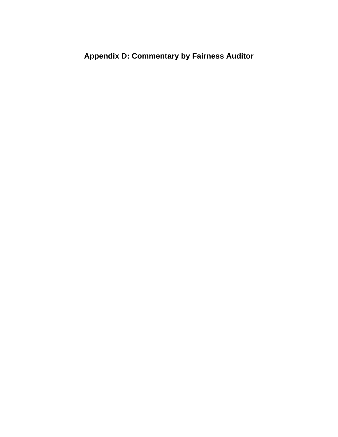## **Appendix D: Commentary by Fairness Auditor**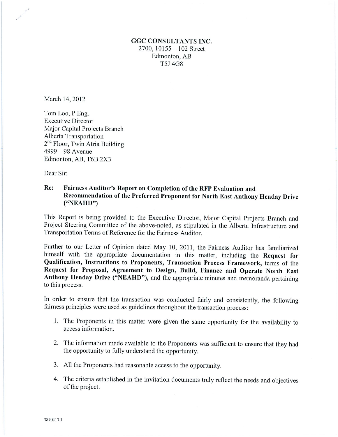### **GGC CONSULTANTS INC.** 2700,  $10155 - 102$  Street Edmonton, AB T5J 4G8

March 14, 2012

Tom Loo, P.Eng. **Executive Director** Major Capital Projects Branch Alberta Transportation 2<sup>nd</sup> Floor, Twin Atria Building  $4999 - 98$  Avenue Edmonton, AB, T6B 2X3

Dear Sir:

#### Re: Fairness Auditor's Report on Completion of the RFP Evaluation and Recommendation of the Preferred Proponent for North East Anthony Henday Drive  $("NEAHD")$

This Report is being provided to the Executive Director, Major Capital Projects Branch and Project Steering Committee of the above-noted, as stipulated in the Alberta Infrastructure and Transportation Terms of Reference for the Fairness Auditor.

Further to our Letter of Opinion dated May 10, 2011, the Fairness Auditor has familiarized himself with the appropriate documentation in this matter, including the Request for Qualification, Instructions to Proponents, Transaction Process Framework, terms of the Request for Proposal, Agreement to Design, Build, Finance and Operate North East Anthony Henday Drive ("NEAHD"), and the appropriate minutes and memoranda pertaining to this process.

In order to ensure that the transaction was conducted fairly and consistently, the following fairness principles were used as guidelines throughout the transaction process:

- 1. The Proponents in this matter were given the same opportunity for the availability to access information.
- 2. The information made available to the Proponents was sufficient to ensure that they had the opportunity to fully understand the opportunity.
- 3. All the Proponents had reasonable access to the opportunity.
- 4. The criteria established in the invitation documents truly reflect the needs and objectives of the project.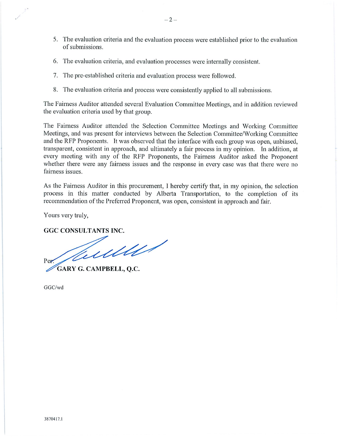- 5. The evaluation criteria and the evaluation process were established prior to the evaluation of submissions.
- 6. The evaluation criteria, and evaluation processes were internally consistent.
- 7. The pre-established criteria and evaluation process were followed.
- 8. The evaluation criteria and process were consistently applied to all submissions.

The Fairness Auditor attended several Evaluation Committee Meetings, and in addition reviewed the evaluation criteria used by that group.

The Fairness Auditor attended the Selection Committee Meetings and Working Committee Meetings, and was present for interviews between the Selection Committee/Working Committee and the RFP Proponents. It was observed that the interface with each group was open, unbiased, transparent, consistent in approach, and ultimately a fair process in my opinion. In addition, at every meeting with any of the RFP Proponents, the Fairness Auditor asked the Proponent whether there were any fairness issues and the response in every case was that there were no fairness issues.

As the Fairness Auditor in this procurement, I hereby certify that, in my opinion, the selection process in this matter conducted by Alberta Transportation, to the completion of its recommendation of the Preferred Proponent, was open, consistent in approach and fair.

Yours very truly,

**GGC CONSULTANTS INC.** 

Tuelles Per

GARY G. CAMPBELL, Q.C.

GGC/wd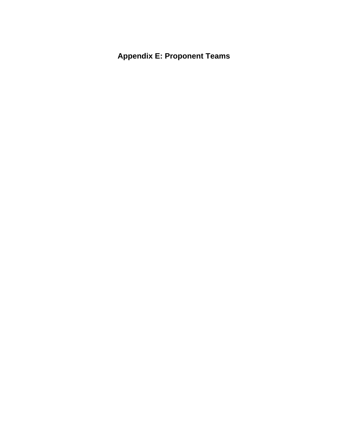**Appendix E: Proponent Teams**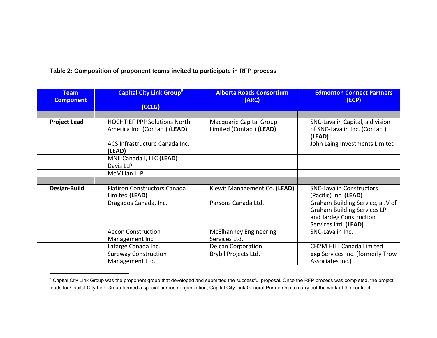**Table 2: Composition of proponent teams invited to participate in RFP process** 

| <b>Team</b><br><b>Component</b> | <b>Capital City Link Group<sup>9</sup></b><br>(CCLG)                 | <b>Alberta Roads Consortium</b><br>(ARC)            | <b>Edmonton Connect Partners</b><br>(ECP)                                                                                 |
|---------------------------------|----------------------------------------------------------------------|-----------------------------------------------------|---------------------------------------------------------------------------------------------------------------------------|
|                                 |                                                                      |                                                     |                                                                                                                           |
| <b>Project Lead</b>             | <b>HOCHTIEF PPP Solutions North</b><br>America Inc. (Contact) (LEAD) | Macquarie Capital Group<br>Limited (Contact) (LEAD) | SNC-Lavalin Capital, a division<br>of SNC-Lavalin Inc. (Contact)<br>(LEAD)                                                |
|                                 | ACS Infrastructure Canada Inc.<br>(LEAD)                             |                                                     | John Laing Investments Limited                                                                                            |
|                                 | MNII Canada I, LLC (LEAD)                                            |                                                     |                                                                                                                           |
|                                 | Davis LLP                                                            |                                                     |                                                                                                                           |
|                                 | <b>McMillan LLP</b>                                                  |                                                     |                                                                                                                           |
|                                 |                                                                      |                                                     |                                                                                                                           |
| Design-Build                    | <b>Flatiron Constructors Canada</b><br>Limited (LEAD)                | Kiewit Management Co. (LEAD)                        | <b>SNC-Lavalin Constructors</b><br>(Pacific) Inc. (LEAD)                                                                  |
|                                 | Dragados Canada, Inc.                                                | Parsons Canada Ltd.                                 | Graham Building Service, a JV of<br><b>Graham Building Services LP</b><br>and Jardeg Construction<br>Services Ltd. (LEAD) |
|                                 | <b>Aecon Construction</b>                                            | <b>McElhanney Engineering</b>                       | SNC-Lavalin Inc.                                                                                                          |
|                                 | Management Inc.                                                      | Services Ltd.                                       |                                                                                                                           |
|                                 | Lafarge Canada Inc.                                                  | <b>Delcan Corporation</b>                           | <b>CH2M HILL Canada Limited</b>                                                                                           |
|                                 | <b>Sureway Construction</b><br>Management Ltd.                       | Brybil Projects Ltd.                                | exp Services Inc. (formerly Trow<br>Associates Inc.)                                                                      |

 $^9$  Capital City Link Group was the proponent group that developed and submitted the successful proposal. Once the RFP process was completed, the project leads for Capital City Link Group formed a special purpose organization, Capital City Link General Partnership to carry out the work of the contract.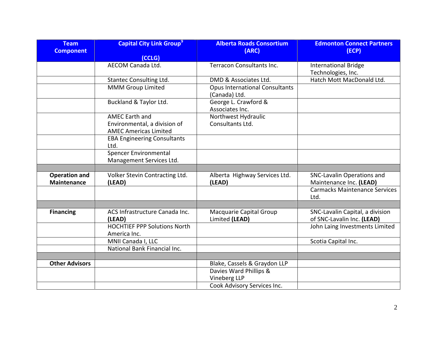| <b>Team</b><br><b>Component</b>            | <b>Capital City Link Group<sup>9</sup></b><br>(CCLG)                                  | <b>Alberta Roads Consortium</b><br>(ARC)               | <b>Edmonton Connect Partners</b><br>(ECP)                     |
|--------------------------------------------|---------------------------------------------------------------------------------------|--------------------------------------------------------|---------------------------------------------------------------|
|                                            | <b>AECOM Canada Ltd.</b>                                                              | Terracon Consultants Inc.                              | <b>International Bridge</b><br>Technologies, Inc.             |
|                                            | Stantec Consulting Ltd.                                                               | DMD & Associates Ltd.                                  | Hatch Mott MacDonald Ltd.                                     |
|                                            | <b>MMM Group Limited</b>                                                              | <b>Opus International Consultants</b><br>(Canada) Ltd. |                                                               |
|                                            | Buckland & Taylor Ltd.                                                                | George L. Crawford &<br>Associates Inc.                |                                                               |
|                                            | <b>AMEC Earth and</b><br>Environmental, a division of<br><b>AMEC Americas Limited</b> | Northwest Hydraulic<br>Consultants Ltd.                |                                                               |
|                                            | <b>EBA Engineering Consultants</b><br>Ltd.                                            |                                                        |                                                               |
|                                            | <b>Spencer Environmental</b><br>Management Services Ltd.                              |                                                        |                                                               |
|                                            |                                                                                       |                                                        |                                                               |
| <b>Operation and</b><br><b>Maintenance</b> | Volker Stevin Contracting Ltd.<br>(LEAD)                                              | Alberta Highway Services Ltd.<br>(LEAD)                | SNC-Lavalin Operations and<br>Maintenance Inc. (LEAD)         |
|                                            |                                                                                       |                                                        | <b>Carmacks Maintenance Services</b><br>Ltd.                  |
|                                            |                                                                                       |                                                        |                                                               |
| <b>Financing</b>                           | ACS Infrastructure Canada Inc.<br>(LEAD)                                              | Macquarie Capital Group<br>Limited (LEAD)              | SNC-Lavalin Capital, a division<br>of SNC-Lavalin Inc. (LEAD) |
|                                            | <b>HOCHTIEF PPP Solutions North</b><br>America Inc.                                   |                                                        | John Laing Investments Limited                                |
|                                            | MNII Canada I, LLC                                                                    |                                                        | Scotia Capital Inc.                                           |
|                                            | National Bank Financial Inc.                                                          |                                                        |                                                               |
|                                            |                                                                                       |                                                        |                                                               |
| <b>Other Advisors</b>                      |                                                                                       | Blake, Cassels & Graydon LLP                           |                                                               |
|                                            |                                                                                       | Davies Ward Phillips &<br>Vineberg LLP                 |                                                               |
|                                            |                                                                                       | Cook Advisory Services Inc.                            |                                                               |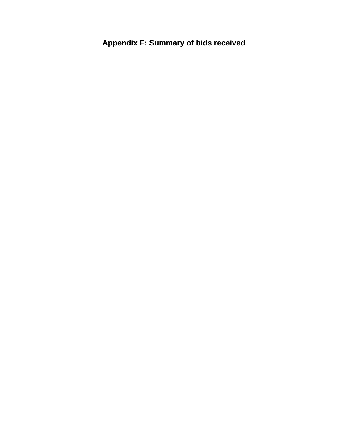**Appendix F: Summary of bids received**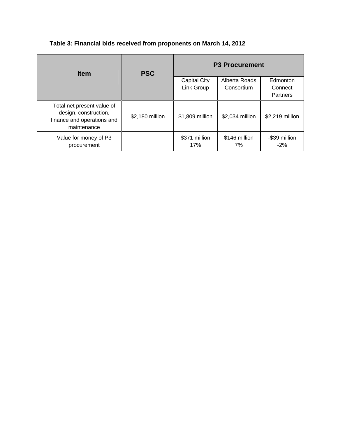| <b>Item</b>                                                                                      | <b>PSC</b>      | <b>P3 Procurement</b>      |                             |                         |
|--------------------------------------------------------------------------------------------------|-----------------|----------------------------|-----------------------------|-------------------------|
|                                                                                                  |                 | Capital City<br>Link Group | Alberta Roads<br>Consortium | Edmonton<br>Connect     |
|                                                                                                  |                 |                            |                             | Partners                |
| Total net present value of<br>design, construction,<br>finance and operations and<br>maintenance | \$2,180 million | \$1,809 million            | \$2,034 million             | \$2,219 million         |
| Value for money of P3<br>procurement                                                             |                 | \$371 million<br>17%       | \$146 million<br>7%         | -\$39 million<br>$-2\%$ |

### **Table 3: Financial bids received from proponents on March 14, 2012**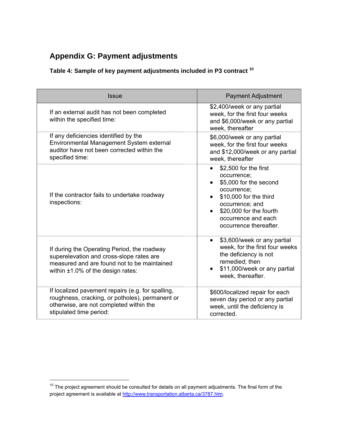## **Appendix G: Payment adjustments**

## **Table 4: Sample of key payment adjustments included in P3 contract 10**

| <b>Issue</b>                                                                                                                                                                      | <b>Payment Adjustment</b>                                                                                                                                                                                           |
|-----------------------------------------------------------------------------------------------------------------------------------------------------------------------------------|---------------------------------------------------------------------------------------------------------------------------------------------------------------------------------------------------------------------|
| If an external audit has not been completed<br>within the specified time:                                                                                                         | \$2,400/week or any partial<br>week, for the first four weeks<br>and \$6,000/week or any partial<br>week, thereafter                                                                                                |
| If any deficiencies identified by the<br>Environmental Management System external<br>auditor have not been corrected within the<br>specified time:                                | \$6,000/week or any partial<br>week, for the first four weeks<br>and \$12,000/week or any partial<br>week, thereafter                                                                                               |
| If the contractor fails to undertake roadway<br>inspections:                                                                                                                      | \$2,500 for the first<br>occurrence;<br>\$5,000 for the second<br>$\bullet$<br>occurrence;<br>\$10,000 for the third<br>occurrence; and<br>\$20,000 for the fourth<br>occurrence and each<br>occurrence thereafter. |
| If during the Operating Period, the roadway<br>superelevation and cross-slope rates are<br>measured and are found not to be maintained<br>within $\pm 1.0\%$ of the design rates: | \$3,600/week or any partial<br>$\bullet$<br>week, for the first four weeks<br>the deficiency is not<br>remedied; then<br>\$11,000/week or any partial<br>$\bullet$<br>week, thereafter.                             |
| If localized pavement repairs (e.g. for spalling,<br>roughness, cracking, or potholes), permanent or<br>otherwise, are not completed within the<br>stipulated time period:        | \$600/localized repair for each<br>seven day period or any partial<br>week, until the deficiency is<br>corrected.                                                                                                   |

 $\overline{a}$ 

 $10$  The project agreement should be consulted for details on all payment adjustments. The final form of the project agreement is available at http://www.transportation.alberta.ca/3787.htm.